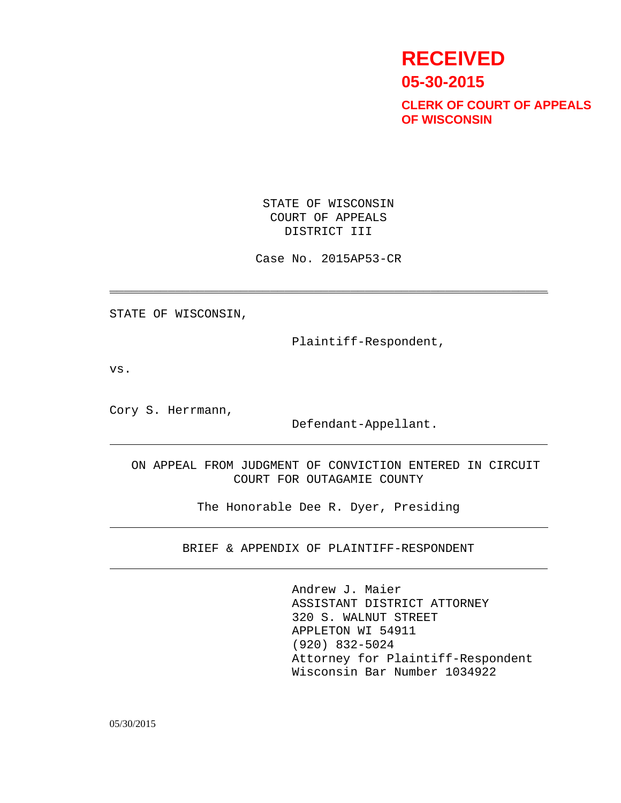# **RECEIVED 05-30-2015**

**CLERK OF COURT OF APPEALS OF WISCONSIN**

 STATE OF WISCONSIN COURT OF APPEALS DISTRICT III

Case No. 2015AP53-CR

\_\_\_\_\_\_\_\_\_\_\_\_\_\_\_\_\_\_\_\_\_\_\_\_\_\_\_\_\_\_\_\_\_\_\_\_\_\_\_\_\_\_\_\_\_\_\_\_\_\_\_\_\_\_\_\_\_\_\_\_

STATE OF WISCONSIN,

Plaintiff-Respondent,

vs.

Cory S. Herrmann,

Defendant-Appellant.

 ON APPEAL FROM JUDGMENT OF CONVICTION ENTERED IN CIRCUIT COURT FOR OUTAGAMIE COUNTY

The Honorable Dee R. Dyer, Presiding

BRIEF & APPENDIX OF PLAINTIFF-RESPONDENT

Andrew J. Maier ASSISTANT DISTRICT ATTORNEY 320 S. WALNUT STREET APPLETON WI 54911 (920) 832-5024 Attorney for Plaintiff-Respondent Wisconsin Bar Number 1034922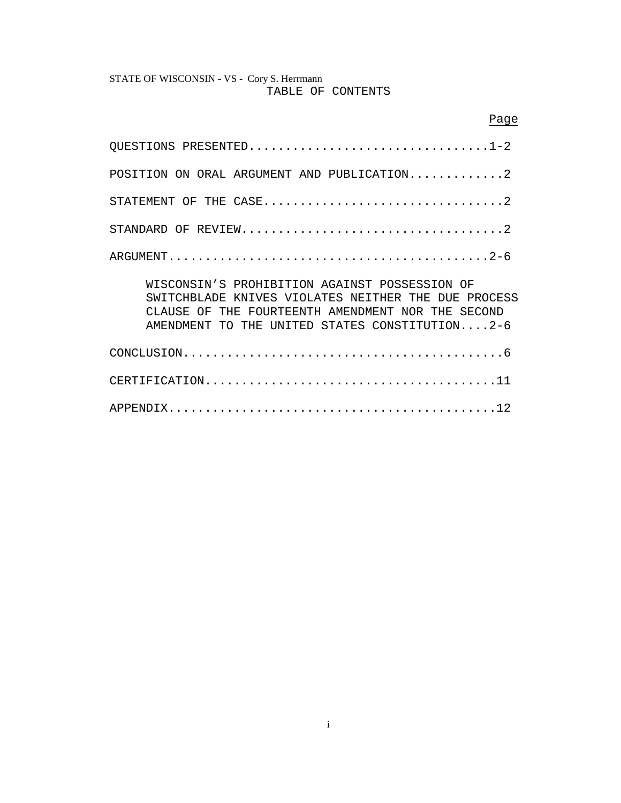# STATE OF WISCONSIN - VS - Cory S. Herrmann TABLE OF CONTENTS

| Page                                                                                                                                                                                                           |  |  |  |
|----------------------------------------------------------------------------------------------------------------------------------------------------------------------------------------------------------------|--|--|--|
| QUESTIONS PRESENTED1-2                                                                                                                                                                                         |  |  |  |
| POSITION ON ORAL ARGUMENT AND PUBLICATION2                                                                                                                                                                     |  |  |  |
| STATEMENT OF THE CASE2                                                                                                                                                                                         |  |  |  |
|                                                                                                                                                                                                                |  |  |  |
|                                                                                                                                                                                                                |  |  |  |
| WISCONSIN'S PROHIBITION AGAINST POSSESSION OF<br>SWITCHBLADE KNIVES VIOLATES NEITHER THE DUE PROCESS<br>THE FOURTEENTH AMENDMENT NOR THE SECOND<br>CLAUSE OF<br>AMENDMENT TO THE UNITED STATES CONSTITUTION2-6 |  |  |  |
|                                                                                                                                                                                                                |  |  |  |
|                                                                                                                                                                                                                |  |  |  |
|                                                                                                                                                                                                                |  |  |  |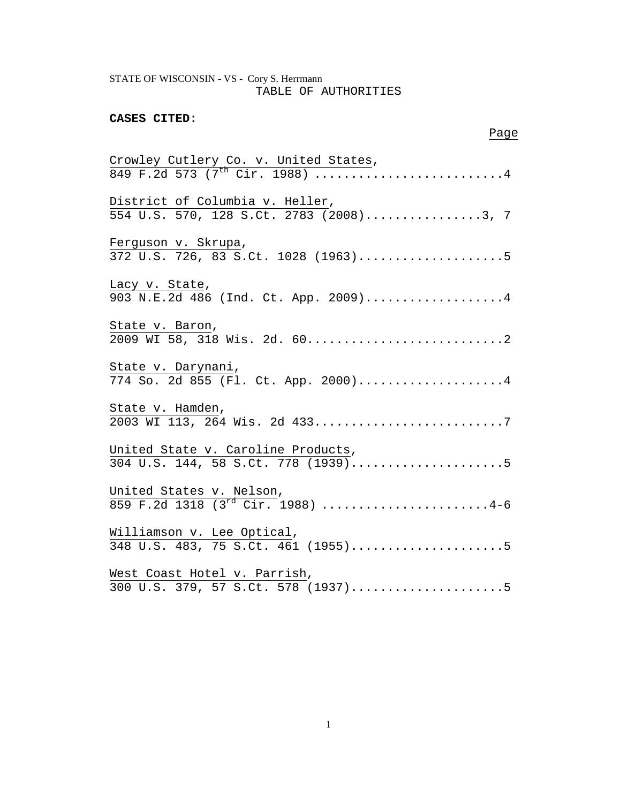# STATE OF WISCONSIN - VS - Cory S. Herrmann TABLE OF AUTHORITIES

# **CASES CITED:**

## **Page 2018** 2019 2019 2020 2021 2022 2023 2024 2022 2023 2024 2022 2023 2024 2022 2023 2024 2025 2026 2027 2028

| Crowley Cutlery Co. v. United States,<br>849 F.2d 573 (7 <sup>th</sup> Cir. 1988) 4 |
|-------------------------------------------------------------------------------------|
| District of Columbia v. Heller,                                                     |
| 554 U.S. 570, 128 S.Ct. 2783 (2008)3, 7                                             |
| Ferguson v. Skrupa,                                                                 |
| 372 U.S. 726, $\overline{83}$ S.Ct. 1028 (1963)5                                    |
| Lacy v. State,                                                                      |
| 903 N.E.2d 486 (Ind. Ct. App. 2009)4                                                |
| State v. Baron,                                                                     |
|                                                                                     |
| State v. Darynani,                                                                  |
| 774 So. 2d 855 (Fl. Ct. App. 2000)4                                                 |
| State v. Hamden,                                                                    |
| 2003 WI 113, 264 Wis. 2d 4337                                                       |
| United State v. Caroline Products,                                                  |
| $304$ U.S. 144, 58 S.Ct. 778 (1939)5                                                |
| United States v. Nelson,<br>859 F.2d 1318 (3 <sup>rd</sup> Cir. 1988) 4-6           |
|                                                                                     |
| Williamson v. Lee Optical,                                                          |
| 348 U.S. 483, 75 S.Ct. 461 (1955)5                                                  |
| West Coast Hotel v. Parrish,                                                        |
|                                                                                     |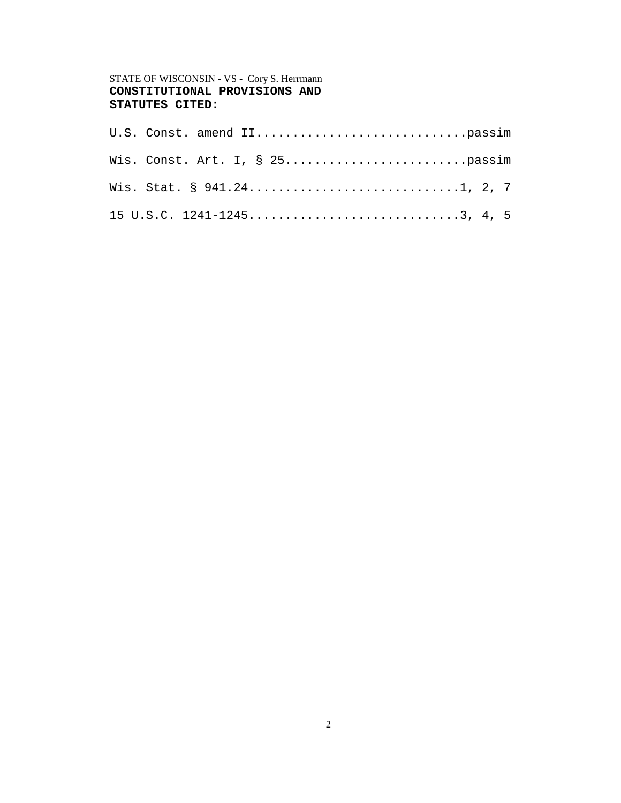# STATE OF WISCONSIN - VS - Cory S. Herrmann **CONSTITUTIONAL PROVISIONS AND STATUTES CITED:**

| 15 U.S.C. $1241 - 1245 \ldots \ldots \ldots \ldots \ldots \ldots \ldots \ldots \ldots \ldots \ldots \ldots \ldots$ |  |
|--------------------------------------------------------------------------------------------------------------------|--|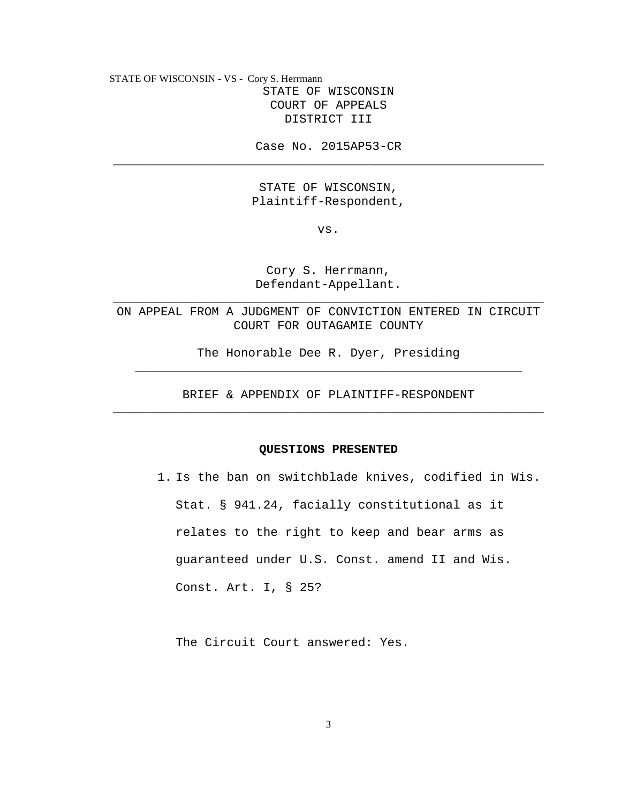STATE OF WISCONSIN - VS - Cory S. Herrmann STATE OF WISCONSIN COURT OF APPEALS DISTRICT III

Case No. 2015AP53-CR \_\_\_\_\_\_\_\_\_\_\_\_\_\_\_\_\_\_\_\_\_\_\_\_\_\_\_\_\_\_\_\_\_\_\_\_\_\_\_\_\_\_\_\_\_\_\_\_\_\_\_\_\_\_\_\_\_\_\_

> STATE OF WISCONSIN, Plaintiff-Respondent,

> > vs.

Cory S. Herrmann, Defendant-Appellant.

ON APPEAL FROM A JUDGMENT OF CONVICTION ENTERED IN CIRCUIT COURT FOR OUTAGAMIE COUNTY

\_\_\_\_\_\_\_\_\_\_\_\_\_\_\_\_\_\_\_\_\_\_\_\_\_\_\_\_\_\_\_\_\_\_\_\_\_\_\_\_\_\_\_\_\_\_\_\_\_\_\_\_\_\_\_\_\_\_\_

The Honorable Dee R. Dyer, Presiding \_\_\_\_\_\_\_\_\_\_\_\_\_\_\_\_\_\_\_\_\_\_\_\_\_\_\_\_\_\_\_\_\_\_\_\_\_\_\_\_\_\_\_\_\_\_\_\_\_\_\_\_\_

BRIEF & APPENDIX OF PLAINTIFF-RESPONDENT \_\_\_\_\_\_\_\_\_\_\_\_\_\_\_\_\_\_\_\_\_\_\_\_\_\_\_\_\_\_\_\_\_\_\_\_\_\_\_\_\_\_\_\_\_\_\_\_\_\_\_\_\_\_\_\_\_\_\_

#### **QUESTIONS PRESENTED**

1. Is the ban on switchblade knives, codified in Wis. Stat. § 941.24, facially constitutional as it relates to the right to keep and bear arms as guaranteed under U.S. Const. amend II and Wis. Const. Art. I, § 25?

The Circuit Court answered: Yes.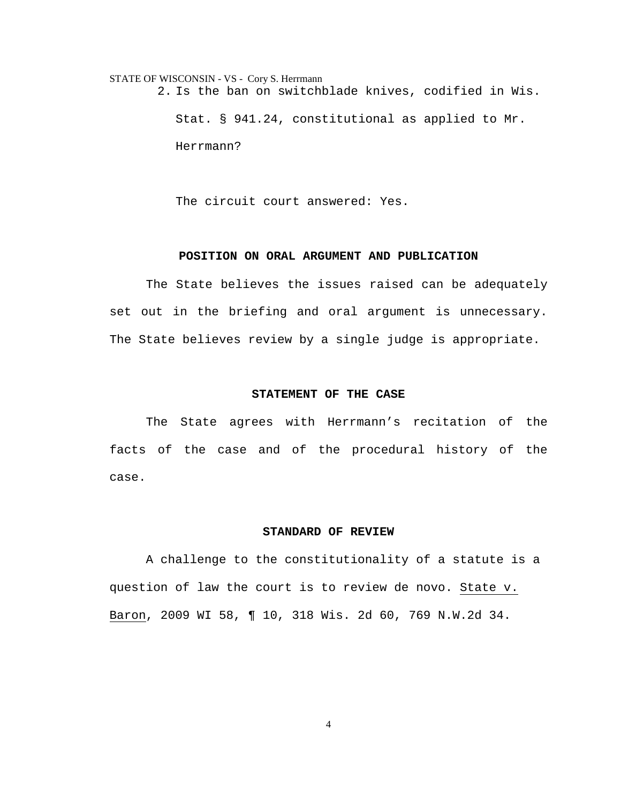STATE OF WISCONSIN - VS - Cory S. Herrmann 2. Is the ban on switchblade knives, codified in Wis. Stat. § 941.24, constitutional as applied to Mr. Herrmann?

The circuit court answered: Yes.

## **POSITION ON ORAL ARGUMENT AND PUBLICATION**

 The State believes the issues raised can be adequately set out in the briefing and oral argument is unnecessary. The State believes review by a single judge is appropriate.

#### **STATEMENT OF THE CASE**

 The State agrees with Herrmann's recitation of the facts of the case and of the procedural history of the case.

#### **STANDARD OF REVIEW**

 A challenge to the constitutionality of a statute is a question of law the court is to review de novo. State v. Baron, 2009 WI 58, ¶ 10, 318 Wis. 2d 60, 769 N.W.2d 34.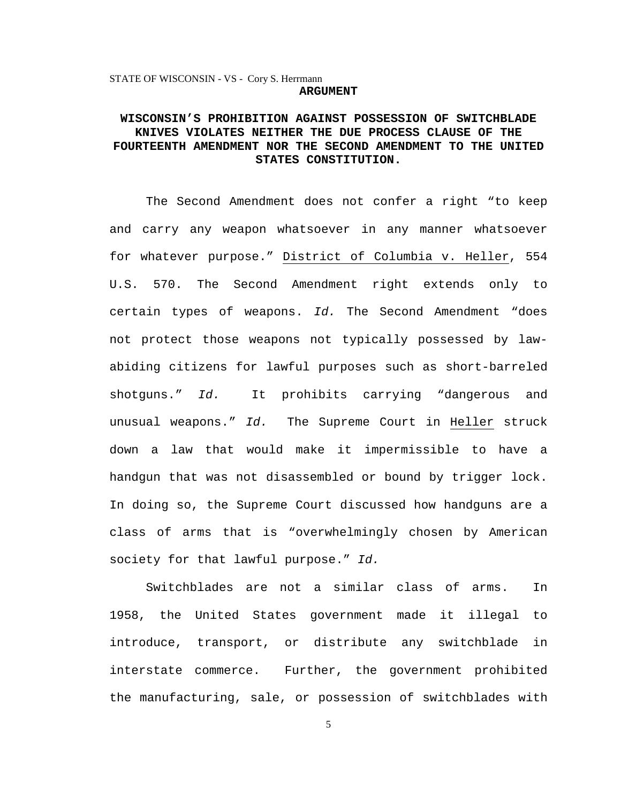# **WISCONSIN'S PROHIBITION AGAINST POSSESSION OF SWITCHBLADE KNIVES VIOLATES NEITHER THE DUE PROCESS CLAUSE OF THE FOURTEENTH AMENDMENT NOR THE SECOND AMENDMENT TO THE UNITED STATES CONSTITUTION.**

The Second Amendment does not confer a right "to keep and carry any weapon whatsoever in any manner whatsoever for whatever purpose." District of Columbia v. Heller, 554 U.S. 570. The Second Amendment right extends only to certain types of weapons. Id. The Second Amendment "does not protect those weapons not typically possessed by lawabiding citizens for lawful purposes such as short-barreled shotguns." Id. It prohibits carrying "dangerous and unusual weapons." Id. The Supreme Court in Heller struck down a law that would make it impermissible to have a handgun that was not disassembled or bound by trigger lock. In doing so, the Supreme Court discussed how handguns are a class of arms that is "overwhelmingly chosen by American society for that lawful purpose." Id.

Switchblades are not a similar class of arms. In 1958, the United States government made it illegal to introduce, transport, or distribute any switchblade in interstate commerce. Further, the government prohibited the manufacturing, sale, or possession of switchblades with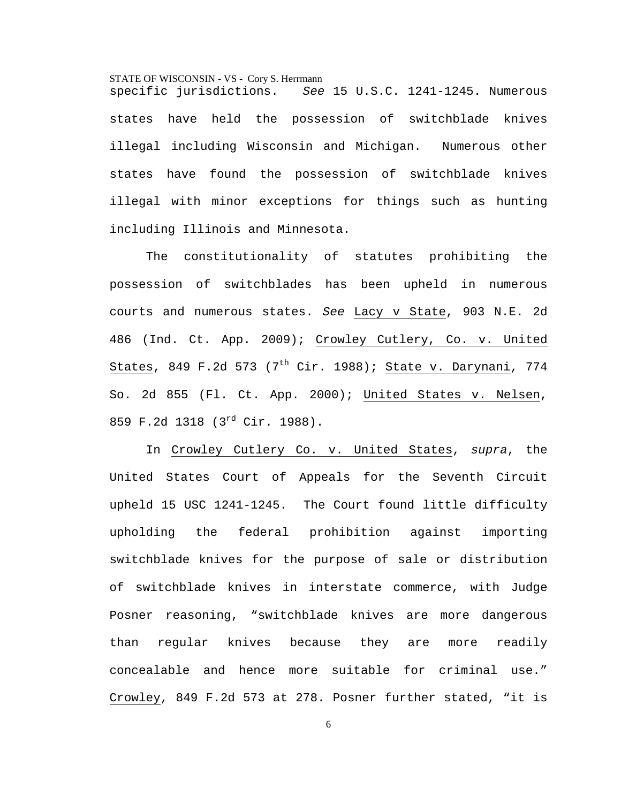specific jurisdictions. See 15 U.S.C. 1241-1245. Numerous states have held the possession of switchblade knives illegal including Wisconsin and Michigan. Numerous other states have found the possession of switchblade knives illegal with minor exceptions for things such as hunting including Illinois and Minnesota.

The constitutionality of statutes prohibiting the possession of switchblades has been upheld in numerous courts and numerous states. See Lacy v State, 903 N.E. 2d 486 (Ind. Ct. App. 2009); Crowley Cutlery, Co. v. United States, 849 F.2d 573 (7<sup>th</sup> Cir. 1988); State v. Darynani, 774 So. 2d 855 (Fl. Ct. App. 2000); United States v. Nelsen, 859 F.2d 1318 (3rd Cir. 1988).

In Crowley Cutlery Co. v. United States, supra, the United States Court of Appeals for the Seventh Circuit upheld 15 USC 1241-1245. The Court found little difficulty upholding the federal prohibition against importing switchblade knives for the purpose of sale or distribution of switchblade knives in interstate commerce, with Judge Posner reasoning, "switchblade knives are more dangerous than regular knives because they are more readily concealable and hence more suitable for criminal use." Crowley, 849 F.2d 573 at 278. Posner further stated, "it is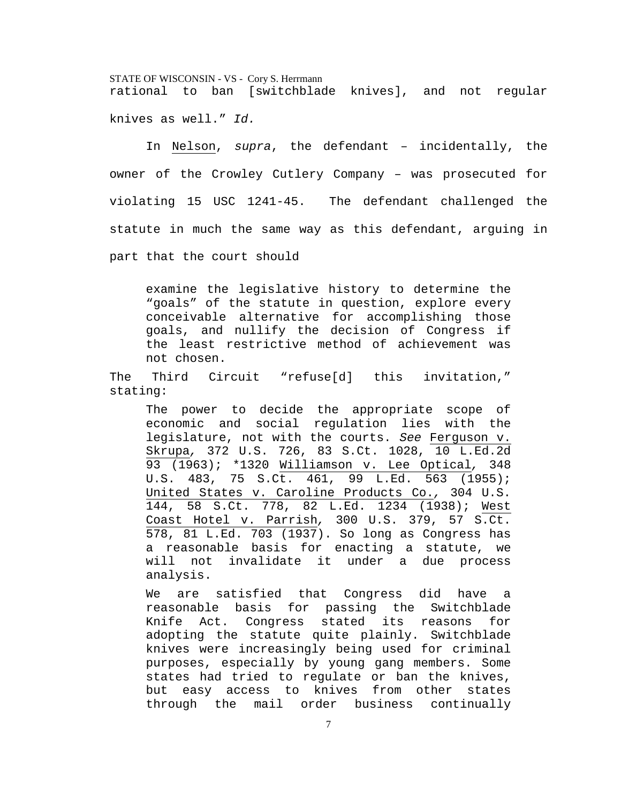STATE OF WISCONSIN - VS - Cory S. Herrmann rational to ban [switchblade knives], and not regular knives as well." Id.

In Nelson, supra, the defendant – incidentally, the owner of the Crowley Cutlery Company – was prosecuted for violating 15 USC 1241-45. The defendant challenged the statute in much the same way as this defendant, arguing in part that the court should

examine the legislative history to determine the "goals" of the statute in question, explore every conceivable alternative for accomplishing those goals, and nullify the decision of Congress if the least restrictive method of achievement was not chosen.

The Third Circuit "refuse[d] this invitation," stating:

The power to decide the appropriate scope of economic and social regulation lies with the legislature, not with the courts. See Ferguson v. Skrupa, 372 U.S. 726, 83 S.Ct. 1028, 10 L.Ed.2d 93 (1963); \*1320 Williamson v. Lee Optical, 348 U.S. 483, 75 S.Ct. 461, 99 L.Ed. 563 (1955); United States v. Caroline Products Co., 304 U.S. 144, 58 S.Ct. 778, 82 L.Ed. 1234 (1938); West Coast Hotel v. Parrish, 300 U.S. 379, 57 S.Ct. 578, 81 L.Ed. 703 (1937). So long as Congress has a reasonable basis for enacting a statute, we will not invalidate it under a due process analysis.

We are satisfied that Congress did have a reasonable basis for passing the Switchblade Knife Act. Congress stated its reasons for adopting the statute quite plainly. Switchblade knives were increasingly being used for criminal purposes, especially by young gang members. Some states had tried to regulate or ban the knives, but easy access to knives from other states through the mail order business continually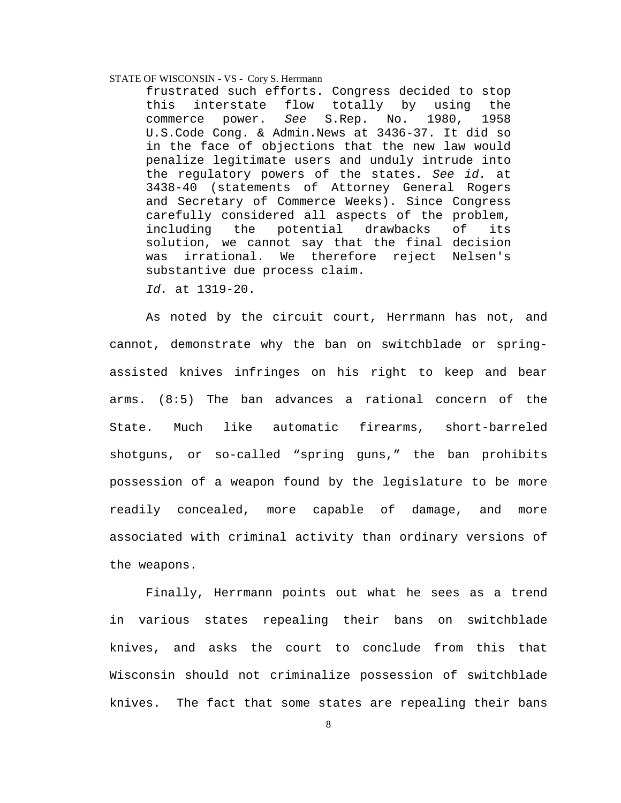frustrated such efforts. Congress decided to stop this interstate flow totally by using the commerce power. See S.Rep. No. 1980, 1958 U.S.Code Cong. & Admin.News at 3436-37. It did so in the face of objections that the new law would penalize legitimate users and unduly intrude into the regulatory powers of the states. See id. at 3438-40 (statements of Attorney General Rogers and Secretary of Commerce Weeks). Since Congress carefully considered all aspects of the problem, including the potential drawbacks of its solution, we cannot say that the final decision was irrational. We therefore reject Nelsen's substantive due process claim.

Id. at 1319-20.

As noted by the circuit court, Herrmann has not, and cannot, demonstrate why the ban on switchblade or springassisted knives infringes on his right to keep and bear arms. (8:5) The ban advances a rational concern of the State. Much like automatic firearms, short-barreled shotguns, or so-called "spring guns," the ban prohibits possession of a weapon found by the legislature to be more readily concealed, more capable of damage, and more associated with criminal activity than ordinary versions of the weapons.

Finally, Herrmann points out what he sees as a trend in various states repealing their bans on switchblade knives, and asks the court to conclude from this that Wisconsin should not criminalize possession of switchblade knives. The fact that some states are repealing their bans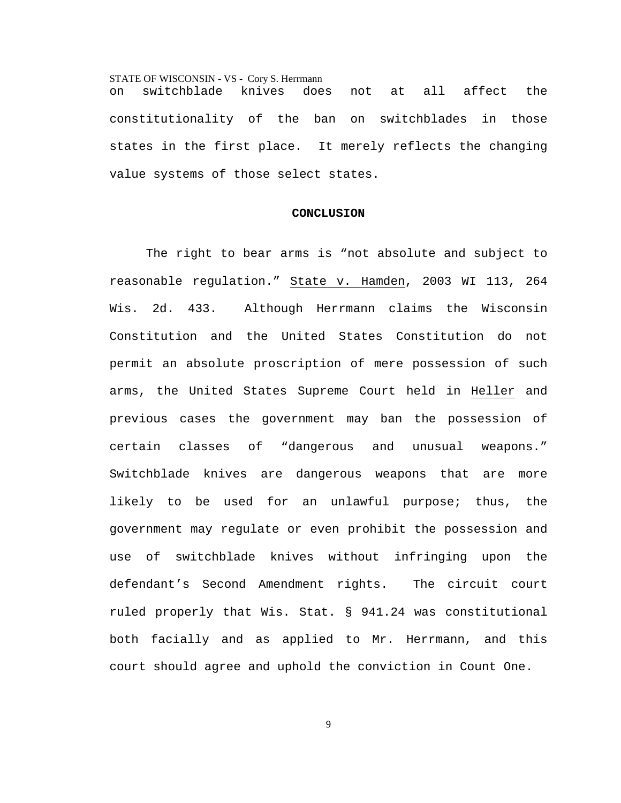STATE OF WISCONSIN - VS - Cory S. Herrmann on switchblade knives does not at all affect the constitutionality of the ban on switchblades in those states in the first place. It merely reflects the changing value systems of those select states.

#### **CONCLUSION**

 The right to bear arms is "not absolute and subject to reasonable regulation." State v. Hamden, 2003 WI 113, 264 Wis. 2d. 433. Although Herrmann claims the Wisconsin Constitution and the United States Constitution do not permit an absolute proscription of mere possession of such arms, the United States Supreme Court held in Heller and previous cases the government may ban the possession of certain classes of "dangerous and unusual weapons." Switchblade knives are dangerous weapons that are more likely to be used for an unlawful purpose; thus, the government may regulate or even prohibit the possession and use of switchblade knives without infringing upon the defendant's Second Amendment rights. The circuit court ruled properly that Wis. Stat. § 941.24 was constitutional both facially and as applied to Mr. Herrmann, and this court should agree and uphold the conviction in Count One.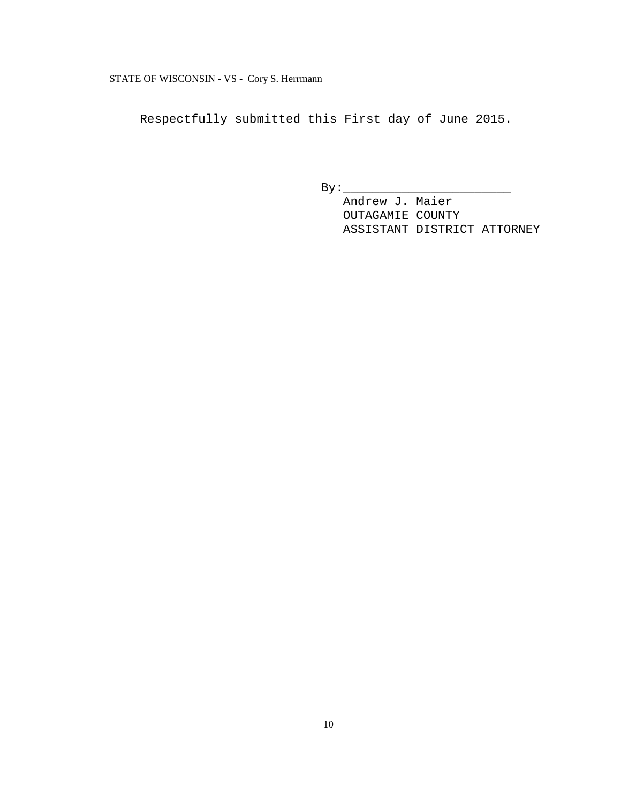Respectfully submitted this First day of June 2015.

 $By:$ 

 Andrew J. Maier OUTAGAMIE COUNTY ASSISTANT DISTRICT ATTORNEY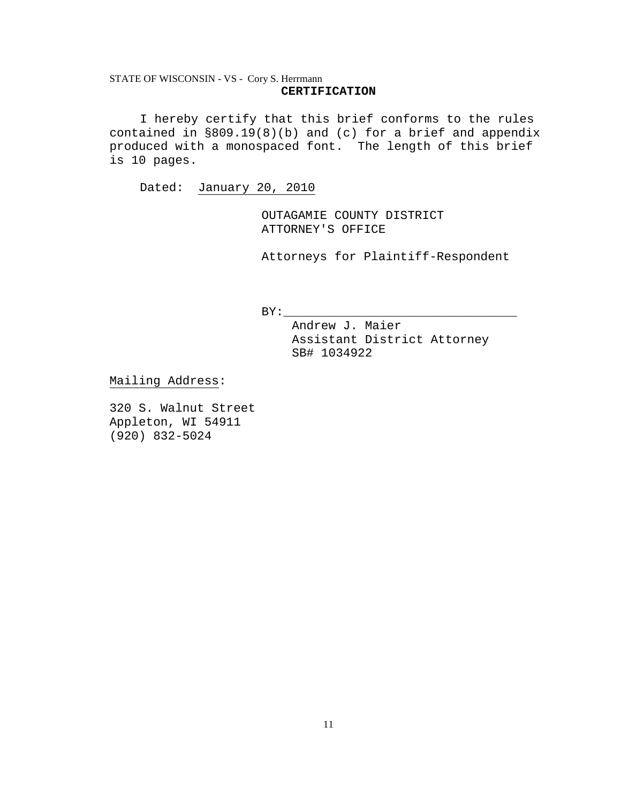## STATE OF WISCONSIN - VS - Cory S. Herrmann **CERTIFICATION**

I hereby certify that this brief conforms to the rules contained in §809.19(8)(b) and (c) for a brief and appendix produced with a monospaced font. The length of this brief is 10 pages.

Dated: January 20, 2010

OUTAGAMIE COUNTY DISTRICT ATTORNEY'S OFFICE

Attorneys for Plaintiff-Respondent

 $BY:$ 

Andrew J. Maier Assistant District Attorney SB# 1034922

Mailing Address:

320 S. Walnut Street Appleton, WI 54911 (920) 832-5024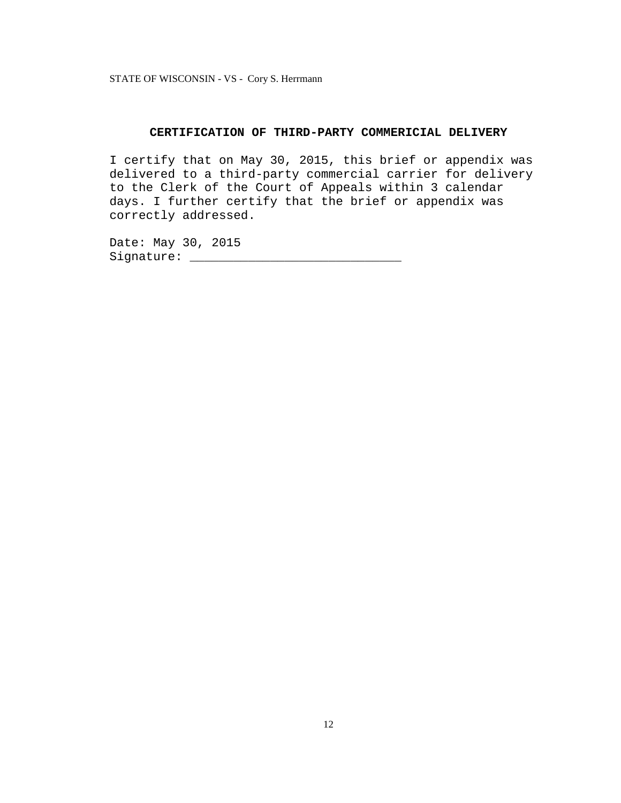### **CERTIFICATION OF THIRD-PARTY COMMERICIAL DELIVERY**

I certify that on May 30, 2015, this brief or appendix was delivered to a third-party commercial carrier for delivery to the Clerk of the Court of Appeals within 3 calendar days. I further certify that the brief or appendix was correctly addressed.

Date: May 30, 2015 Signature: \_\_\_\_\_\_\_\_\_\_\_\_\_\_\_\_\_\_\_\_\_\_\_\_\_\_\_\_\_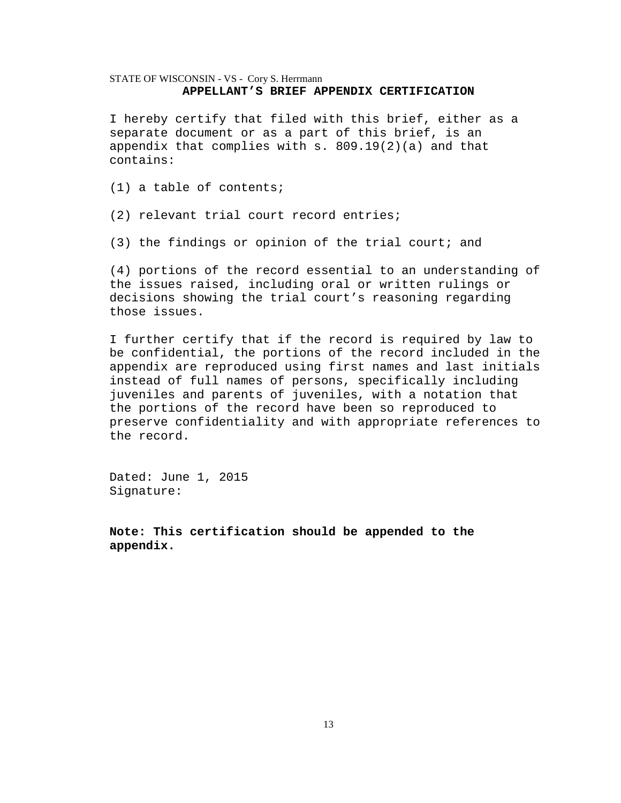## STATE OF WISCONSIN - VS - Cory S. Herrmann **APPELLANT'S BRIEF APPENDIX CERTIFICATION**

I hereby certify that filed with this brief, either as a separate document or as a part of this brief, is an appendix that complies with  $s. 809.19(2)(a)$  and that contains:

(1) a table of contents;

(2) relevant trial court record entries;

(3) the findings or opinion of the trial court; and

(4) portions of the record essential to an understanding of the issues raised, including oral or written rulings or decisions showing the trial court's reasoning regarding those issues.

I further certify that if the record is required by law to be confidential, the portions of the record included in the appendix are reproduced using first names and last initials instead of full names of persons, specifically including juveniles and parents of juveniles, with a notation that the portions of the record have been so reproduced to preserve confidentiality and with appropriate references to the record.

Dated: June 1, 2015 Signature:

**Note: This certification should be appended to the appendix.**